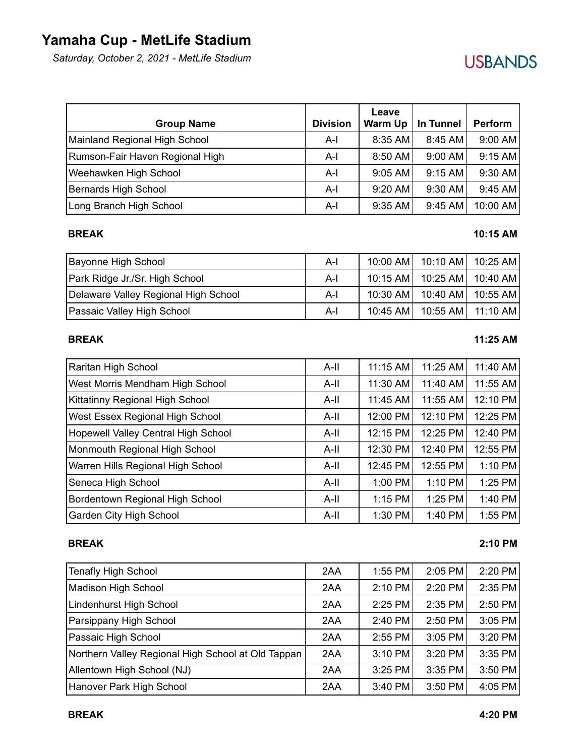## **Yamaha Cup - MetLife Stadium**

*Saturday, October 2, 2021 - MetLife Stadium*

| <b>Group Name</b>               | <b>Division</b> | Leave<br><b>Warm Up</b> | <b>In Tunnel</b> | Perform   |
|---------------------------------|-----------------|-------------------------|------------------|-----------|
| Mainland Regional High School   | A-l             | 8:35 AM                 | 8:45 AM          | 9:00 AM   |
| Rumson-Fair Haven Regional High | A-l             | 8:50 AM                 | $9:00$ AM        | $9:15$ AM |
| Weehawken High School           | A-l             | $9:05$ AM               | $9:15$ AM        | 9:30 AM   |
| Bernards High School            | $A-I$           | 9:20 AM                 | $9:30$ AM        | 9:45 AM   |
| Long Branch High School         | A-l             | 9:35 AM                 | $9:45$ AM        | 10:00 AM  |

## **BREAK 10:15 AM**

| Bayonne High School                  | A-l | 10:00 AM   10:10 AM   10:25 AM |  |
|--------------------------------------|-----|--------------------------------|--|
| Park Ridge Jr./Sr. High School       | A-l | 10:15 AM   10:25 AM   10:40 AM |  |
| Delaware Valley Regional High School | A-l | 10:30 AM   10:40 AM   10:55 AM |  |
| Passaic Valley High School           | A-l | 10:45 AM   10:55 AM   11:10 AM |  |

## **BREAK 11:25 AM**

| Raritan High School                    | $A-II$ | 11:15 AM | 11:25 AM | 11:40 AM |
|----------------------------------------|--------|----------|----------|----------|
| West Morris Mendham High School        | $A-II$ | 11:30 AM | 11:40 AM | 11:55 AM |
| Kittatinny Regional High School        | $A-II$ | 11:45 AM | 11:55 AM | 12:10 PM |
| <b>West Essex Regional High School</b> | $A-II$ | 12:00 PM | 12:10 PM | 12:25 PM |
| Hopewell Valley Central High School    | $A-II$ | 12:15 PM | 12:25 PM | 12:40 PM |
| Monmouth Regional High School          | $A-II$ | 12:30 PM | 12:40 PM | 12:55 PM |
| Warren Hills Regional High School      | $A-II$ | 12:45 PM | 12:55 PM | 1:10 PM  |
| Seneca High School                     | $A-II$ | 1:00 PM  | 1:10 PM  | 1:25 PM  |
| Bordentown Regional High School        | $A-II$ | 1:15 PM  | 1:25 PM  | 1:40 PM  |
| <b>Garden City High School</b>         | $A-II$ | 1:30 PM  | 1:40 PM  | 1:55 PM  |

| Tenafly High School                                | 2AA | 1:55 PM | 2:05 PM | 2:20 PM |
|----------------------------------------------------|-----|---------|---------|---------|
| Madison High School                                | 2AA | 2:10 PM | 2:20 PM | 2:35 PM |
| Lindenhurst High School                            | 2AA | 2:25 PM | 2:35 PM | 2:50 PM |
| Parsippany High School                             | 2AA | 2:40 PM | 2:50 PM | 3:05 PM |
| Passaic High School                                | 2AA | 2:55 PM | 3:05 PM | 3:20 PM |
| Northern Valley Regional High School at Old Tappan | 2AA | 3:10 PM | 3:20 PM | 3:35 PM |
| Allentown High School (NJ)                         | 2AA | 3:25 PM | 3:35 PM | 3:50 PM |
| Hanover Park High School                           | 2AA | 3:40 PM | 3:50 PM | 4:05 PM |

## **BREAK 2:10 PM**

# **USBANDS**